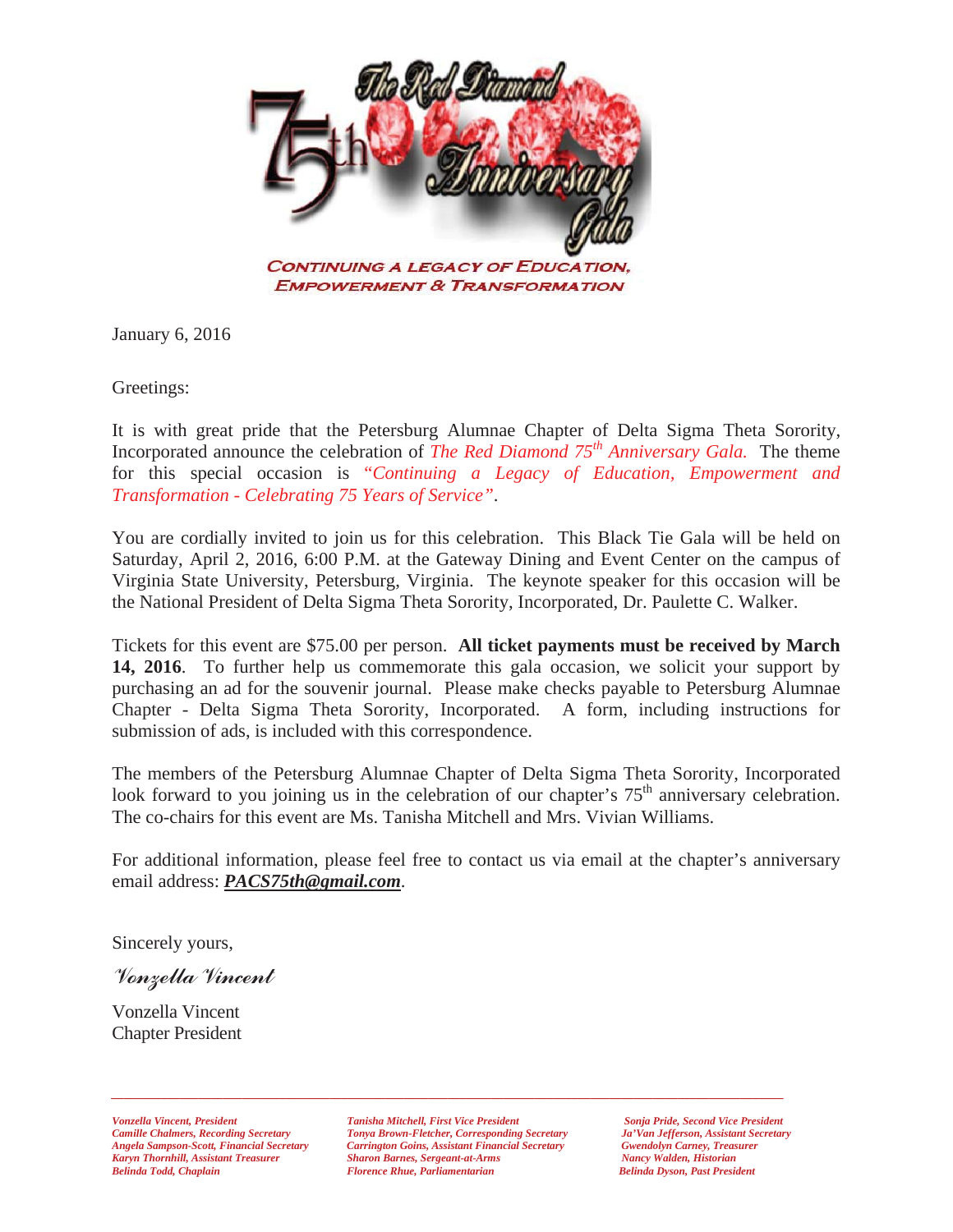

January 6, 2016

Greetings:

It is with great pride that the Petersburg Alumnae Chapter of Delta Sigma Theta Sorority, Incorporated announce the celebration of *The Red Diamond 75th Anniversary Gala.* The theme for this special occasion is "*Continuing a Legacy of Education, Empowerment and Transformation - Celebrating 75 Years of Service"*.

You are cordially invited to join us for this celebration. This Black Tie Gala will be held on Saturday, April 2, 2016, 6:00 P.M. at the Gateway Dining and Event Center on the campus of Virginia State University, Petersburg, Virginia. The keynote speaker for this occasion will be the National President of Delta Sigma Theta Sorority, Incorporated, Dr. Paulette C. Walker.

Tickets for this event are \$75.00 per person. **All ticket payments must be received by March 14, 2016**. To further help us commemorate this gala occasion, we solicit your support by purchasing an ad for the souvenir journal. Please make checks payable to Petersburg Alumnae Chapter - Delta Sigma Theta Sorority, Incorporated. A form, including instructions for submission of ads, is included with this correspondence.

The members of the Petersburg Alumnae Chapter of Delta Sigma Theta Sorority, Incorporated look forward to you joining us in the celebration of our chapter's  $75<sup>th</sup>$  anniversary celebration. The co-chairs for this event are Ms. Tanisha Mitchell and Mrs. Vivian Williams.

For additional information, please feel free to contact us via email at the chapter's anniversary email address: *PACS75th@gmail.com*.

Sincerely yours,

Vonzella Vincent

Vonzella Vincent Chapter President

*Vonzella Vincent, President Tanisha Mitchell, First Vice President Sonja Pride, Second Vice President Camille Chalmers, Recording Secretary Tonya Brown-Fletcher, Corresponding Secretary Ja'Van Jefferson, Assistant Secretary Carrington Goins, Assistant Financial Secretary Gwendolyn Carney, Treas*<br>
Sharon Barnes, Sergeant-at-Arms **Mancy Walden, Historian** *Karyn Thornhill, Assistant Treasurer Sharon Barnes, Sergeant-at-Arms Nancy Walden, Historian <i>Florence Rhue, Parliamentarian* 

*\_\_\_\_\_\_\_\_\_\_\_\_\_\_\_\_\_\_\_\_\_\_\_\_\_\_\_\_\_\_\_\_\_\_\_\_\_\_\_\_\_\_\_\_\_\_\_\_\_\_\_\_\_\_\_\_\_\_\_\_\_\_\_\_\_\_\_\_\_\_\_\_\_\_\_\_\_\_\_\_\_\_\_\_\_\_\_\_\_\_\_\_\_\_\_\_\_\_\_\_\_\_\_\_\_\_\_\_*